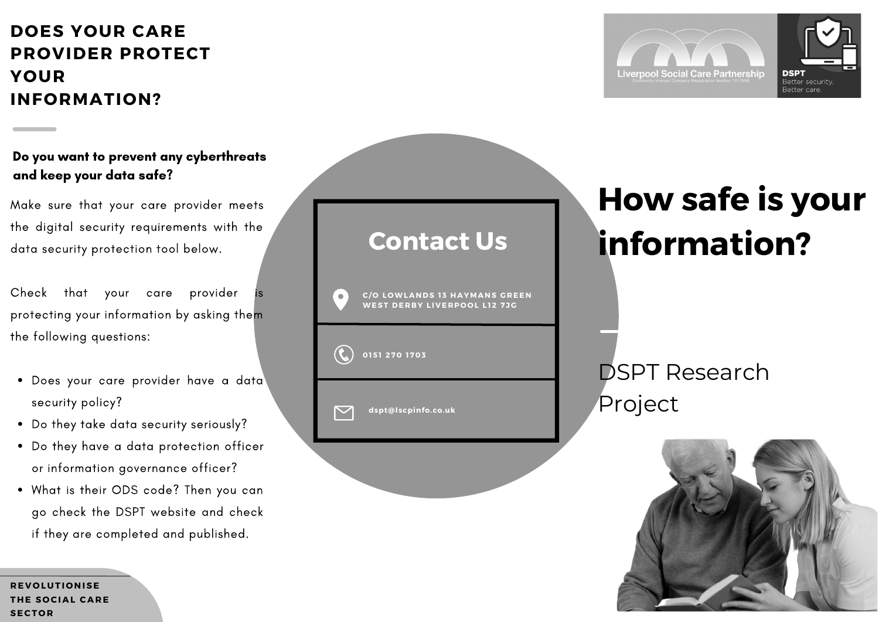#### **DOES YOUR CARE PROVIDER PROTECT YOUR INFORMATION?**

#### Do you want to prevent any cyberthreats and keep your data safe?

Make sure that your care provider meets the digital security requirements with the data security protection tool below.

Check that your care provider protecting your information by asking them the following questions:

- Does your care provider have a data security policy?
- Do they take data security seriously?
- Do they have a data protection officer or information governance officer?
- What is their ODS code? Then you can go check the DSPT website and check if they are completed and published.



# **How safe is your information?**

**DSPT** Better security Better care.

**Liverpool Social Care Partnership** 

**R E V O L U T I O N I S E THE SOCIAL CARE S E C T O R**